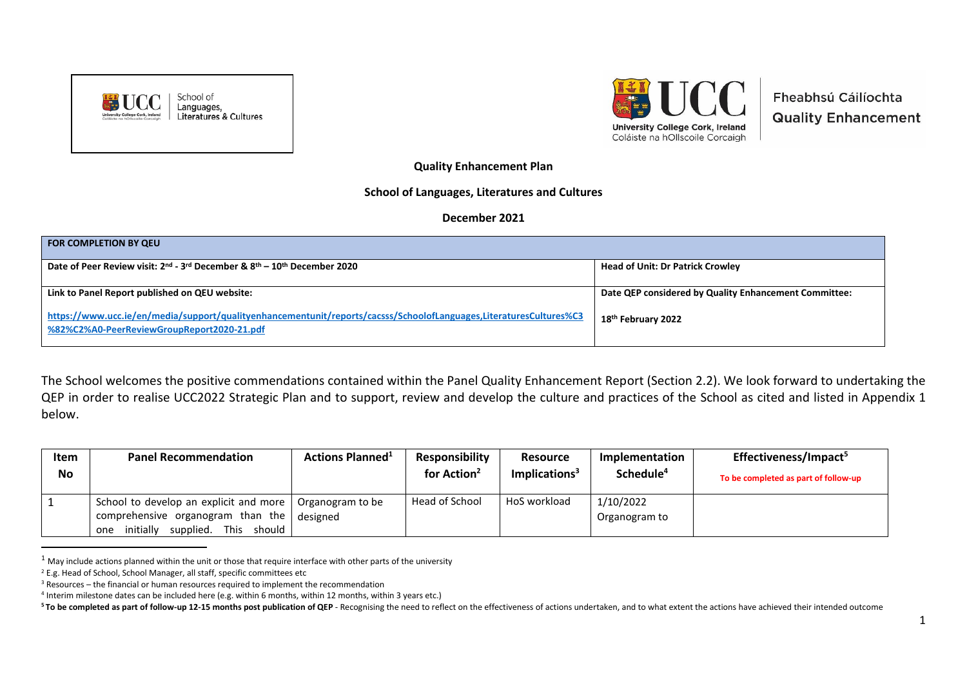



Fheabhsú Cáilíochta **Quality Enhancement** 

**Quality Enhancement Plan** 

## **School of Languages, Literatures and Cultures**

## **December 2021**

| <b>FOR COMPLETION BY QEU</b>                                                                                                                                     |                                                       |
|------------------------------------------------------------------------------------------------------------------------------------------------------------------|-------------------------------------------------------|
| Date of Peer Review visit: 2 <sup>nd</sup> - 3 <sup>rd</sup> December & 8 <sup>th</sup> – 10 <sup>th</sup> December 2020                                         | <b>Head of Unit: Dr Patrick Crowley</b>               |
| Link to Panel Report published on QEU website:                                                                                                                   | Date QEP considered by Quality Enhancement Committee: |
| https://www.ucc.ie/en/media/support/qualityenhancementunit/reports/cacsss/SchoolofLanguages,LiteraturesCultures%C3<br>%82%C2%A0-PeerReviewGroupReport2020-21.pdf | 18 <sup>th</sup> February 2022                        |

The School welcomes the positive commendations contained within the Panel Quality Enhancement Report (Section 2.2). We look forward to undertaking the QEP in order to realise UCC2022 Strategic Plan and to support, review and develop the culture and practices of the School as cited and listed in Appendix 1 below.

| <b>Item</b> | <b>Panel Recommendation</b>                                                                   | <b>Actions Planned</b> <sup>1</sup> | <b>Responsibility</b>   | <b>Resource</b>  | Implementation        | Effectiveness/Impact <sup>5</sup>    |
|-------------|-----------------------------------------------------------------------------------------------|-------------------------------------|-------------------------|------------------|-----------------------|--------------------------------------|
| No          |                                                                                               |                                     | for Action <sup>2</sup> | Implications $3$ | Schedule <sup>4</sup> | To be completed as part of follow-up |
|             | School to develop an explicit and more                                                        | Organogram to be                    | Head of School          | HoS workload     | 1/10/2022             |                                      |
|             | comprehensive organogram than the<br>should l<br>supplied.<br><b>This</b><br>initially<br>one | designed                            |                         |                  | Organogram to         |                                      |

 $1$  May include actions planned within the unit or those that require interface with other parts of the university

<sup>&</sup>lt;sup>2</sup> E.g. Head of School, School Manager, all staff, specific committees etc

 $3$  Resources – the financial or human resources required to implement the recommendation

<sup>4</sup> Interim milestone dates can be included here (e.g. within 6 months, within 12 months, within 3 years etc.)

<sup>&</sup>lt;sup>5</sup> To be completed as part of follow-up 12-15 months post publication of QEP - Recognising the need to reflect on the effectiveness of actions undertaken, and to what extent the actions have achieved their intended outcom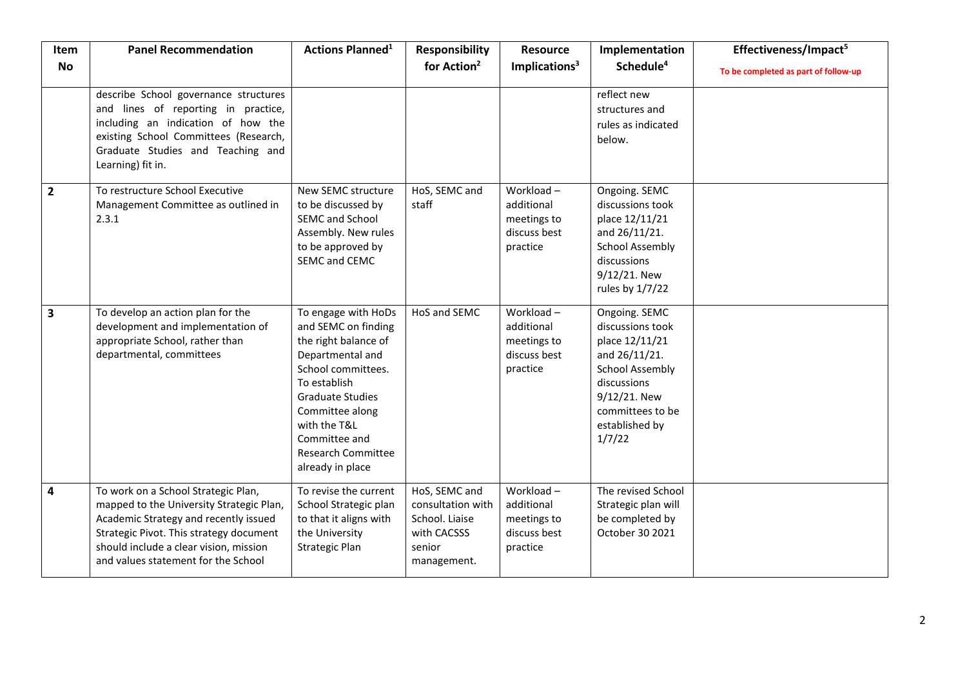| Item                    | <b>Panel Recommendation</b>                                                                                                                                                                                                                          | <b>Actions Planned<sup>1</sup></b>                                                                                                                                                                                                                           | <b>Responsibility</b>                                                                        | <b>Resource</b>                                                    | Implementation                                                                                                                                                                | Effectiveness/Impact <sup>5</sup>    |
|-------------------------|------------------------------------------------------------------------------------------------------------------------------------------------------------------------------------------------------------------------------------------------------|--------------------------------------------------------------------------------------------------------------------------------------------------------------------------------------------------------------------------------------------------------------|----------------------------------------------------------------------------------------------|--------------------------------------------------------------------|-------------------------------------------------------------------------------------------------------------------------------------------------------------------------------|--------------------------------------|
| <b>No</b>               |                                                                                                                                                                                                                                                      |                                                                                                                                                                                                                                                              | for Action <sup>2</sup>                                                                      | Implications <sup>3</sup>                                          | Schedule <sup>4</sup>                                                                                                                                                         | To be completed as part of follow-up |
|                         | describe School governance structures<br>and lines of reporting in practice,<br>including an indication of how the<br>existing School Committees (Research,<br>Graduate Studies and Teaching and<br>Learning) fit in.                                |                                                                                                                                                                                                                                                              |                                                                                              |                                                                    | reflect new<br>structures and<br>rules as indicated<br>below.                                                                                                                 |                                      |
| $\overline{2}$          | To restructure School Executive<br>Management Committee as outlined in<br>2.3.1                                                                                                                                                                      | New SEMC structure<br>to be discussed by<br>SEMC and School<br>Assembly. New rules<br>to be approved by<br>SEMC and CEMC                                                                                                                                     | HoS, SEMC and<br>staff                                                                       | Workload-<br>additional<br>meetings to<br>discuss best<br>practice | Ongoing. SEMC<br>discussions took<br>place 12/11/21<br>and 26/11/21.<br><b>School Assembly</b><br>discussions<br>9/12/21. New<br>rules by 1/7/22                              |                                      |
| $\overline{\mathbf{3}}$ | To develop an action plan for the<br>development and implementation of<br>appropriate School, rather than<br>departmental, committees                                                                                                                | To engage with HoDs<br>and SEMC on finding<br>the right balance of<br>Departmental and<br>School committees.<br>To establish<br><b>Graduate Studies</b><br>Committee along<br>with the T&L<br>Committee and<br><b>Research Committee</b><br>already in place | HoS and SEMC                                                                                 | Workload-<br>additional<br>meetings to<br>discuss best<br>practice | Ongoing. SEMC<br>discussions took<br>place 12/11/21<br>and 26/11/21.<br><b>School Assembly</b><br>discussions<br>9/12/21. New<br>committees to be<br>established by<br>1/7/22 |                                      |
| $\overline{\mathbf{4}}$ | To work on a School Strategic Plan,<br>mapped to the University Strategic Plan,<br>Academic Strategy and recently issued<br>Strategic Pivot. This strategy document<br>should include a clear vision, mission<br>and values statement for the School | To revise the current<br>School Strategic plan<br>to that it aligns with<br>the University<br><b>Strategic Plan</b>                                                                                                                                          | HoS, SEMC and<br>consultation with<br>School. Liaise<br>with CACSSS<br>senior<br>management. | Workload-<br>additional<br>meetings to<br>discuss best<br>practice | The revised School<br>Strategic plan will<br>be completed by<br>October 30 2021                                                                                               |                                      |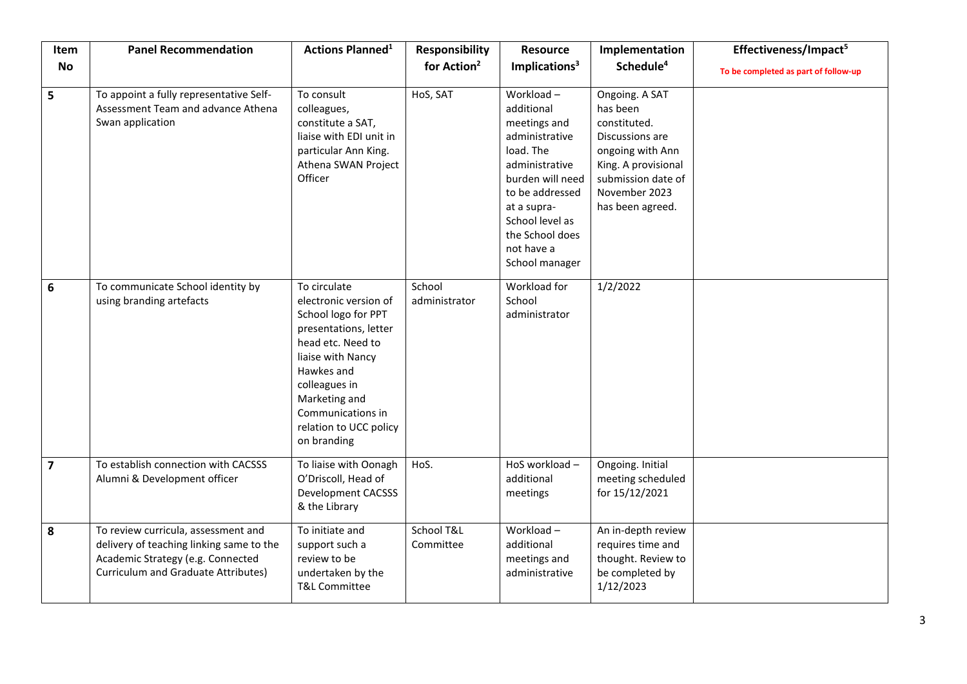| Item           | <b>Panel Recommendation</b>                                                                                                                                 | <b>Actions Planned<sup>1</sup></b>                                                                                                                                                                                                            | <b>Responsibility</b>   | <b>Resource</b>                                                                                                                                                                                                      | Implementation                                                                                                                                                      | Effectiveness/Impact <sup>5</sup>    |
|----------------|-------------------------------------------------------------------------------------------------------------------------------------------------------------|-----------------------------------------------------------------------------------------------------------------------------------------------------------------------------------------------------------------------------------------------|-------------------------|----------------------------------------------------------------------------------------------------------------------------------------------------------------------------------------------------------------------|---------------------------------------------------------------------------------------------------------------------------------------------------------------------|--------------------------------------|
| <b>No</b>      |                                                                                                                                                             |                                                                                                                                                                                                                                               | for Action <sup>2</sup> | Implications <sup>3</sup>                                                                                                                                                                                            | Schedule <sup>4</sup>                                                                                                                                               | To be completed as part of follow-up |
| 5              | To appoint a fully representative Self-<br>Assessment Team and advance Athena<br>Swan application                                                           | To consult<br>colleagues,<br>constitute a SAT,<br>liaise with EDI unit in<br>particular Ann King.<br>Athena SWAN Project<br>Officer                                                                                                           | HoS, SAT                | Workload-<br>additional<br>meetings and<br>administrative<br>load. The<br>administrative<br>burden will need<br>to be addressed<br>at a supra-<br>School level as<br>the School does<br>not have a<br>School manager | Ongoing. A SAT<br>has been<br>constituted.<br>Discussions are<br>ongoing with Ann<br>King. A provisional<br>submission date of<br>November 2023<br>has been agreed. |                                      |
| 6              | To communicate School identity by<br>using branding artefacts                                                                                               | To circulate<br>electronic version of<br>School logo for PPT<br>presentations, letter<br>head etc. Need to<br>liaise with Nancy<br>Hawkes and<br>colleagues in<br>Marketing and<br>Communications in<br>relation to UCC policy<br>on branding | School<br>administrator | Workload for<br>School<br>administrator                                                                                                                                                                              | 1/2/2022                                                                                                                                                            |                                      |
| $\overline{7}$ | To establish connection with CACSSS<br>Alumni & Development officer                                                                                         | To liaise with Oonagh<br>O'Driscoll, Head of<br><b>Development CACSSS</b><br>& the Library                                                                                                                                                    | HoS.                    | HoS workload -<br>additional<br>meetings                                                                                                                                                                             | Ongoing. Initial<br>meeting scheduled<br>for 15/12/2021                                                                                                             |                                      |
| 8              | To review curricula, assessment and<br>delivery of teaching linking same to the<br>Academic Strategy (e.g. Connected<br>Curriculum and Graduate Attributes) | To initiate and<br>support such a<br>review to be<br>undertaken by the<br><b>T&amp;L Committee</b>                                                                                                                                            | School T&L<br>Committee | $\overline{\text{Workload}}$ –<br>additional<br>meetings and<br>administrative                                                                                                                                       | An in-depth review<br>requires time and<br>thought. Review to<br>be completed by<br>1/12/2023                                                                       |                                      |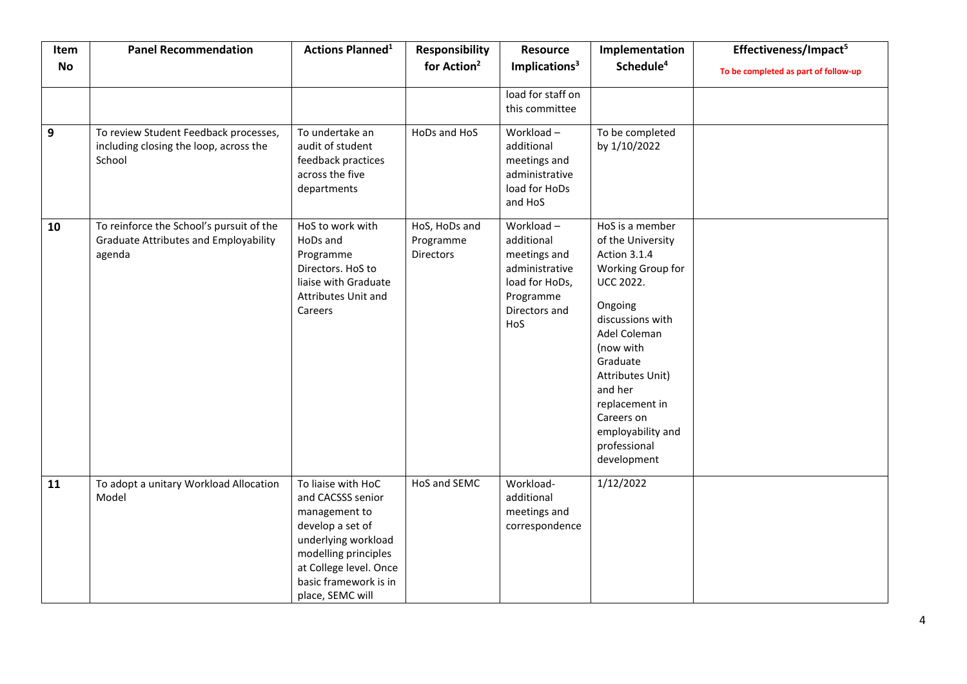| Item      | <b>Panel Recommendation</b>                                                                        | <b>Actions Planned<sup>1</sup></b>                                                                                                                                                                 | <b>Responsibility</b>                          | <b>Resource</b>                                                                                                  | Implementation                                                                                                                                                                                                                                                                           | Effectiveness/Impact <sup>5</sup>    |
|-----------|----------------------------------------------------------------------------------------------------|----------------------------------------------------------------------------------------------------------------------------------------------------------------------------------------------------|------------------------------------------------|------------------------------------------------------------------------------------------------------------------|------------------------------------------------------------------------------------------------------------------------------------------------------------------------------------------------------------------------------------------------------------------------------------------|--------------------------------------|
| <b>No</b> |                                                                                                    |                                                                                                                                                                                                    | for Action <sup>2</sup>                        | Implications <sup>3</sup>                                                                                        | Schedule <sup>4</sup>                                                                                                                                                                                                                                                                    | To be completed as part of follow-up |
|           | To review Student Feedback processes,                                                              | To undertake an                                                                                                                                                                                    | HoDs and HoS                                   | load for staff on<br>this committee<br>Workload-                                                                 | To be completed                                                                                                                                                                                                                                                                          |                                      |
| 9         | including closing the loop, across the<br>School                                                   | audit of student<br>feedback practices<br>across the five<br>departments                                                                                                                           |                                                | additional<br>meetings and<br>administrative<br>load for HoDs<br>and HoS                                         | by 1/10/2022                                                                                                                                                                                                                                                                             |                                      |
| 10        | To reinforce the School's pursuit of the<br><b>Graduate Attributes and Employability</b><br>agenda | HoS to work with<br>HoDs and<br>Programme<br>Directors. HoS to<br>liaise with Graduate<br>Attributes Unit and<br>Careers                                                                           | HoS, HoDs and<br>Programme<br><b>Directors</b> | Workload-<br>additional<br>meetings and<br>administrative<br>load for HoDs,<br>Programme<br>Directors and<br>HoS | HoS is a member<br>of the University<br>Action 3.1.4<br>Working Group for<br><b>UCC 2022.</b><br>Ongoing<br>discussions with<br>Adel Coleman<br>(now with<br>Graduate<br>Attributes Unit)<br>and her<br>replacement in<br>Careers on<br>employability and<br>professional<br>development |                                      |
| 11        | To adopt a unitary Workload Allocation<br>Model                                                    | To liaise with HoC<br>and CACSSS senior<br>management to<br>develop a set of<br>underlying workload<br>modelling principles<br>at College level. Once<br>basic framework is in<br>place, SEMC will | HoS and SEMC                                   | Workload-<br>additional<br>meetings and<br>correspondence                                                        | 1/12/2022                                                                                                                                                                                                                                                                                |                                      |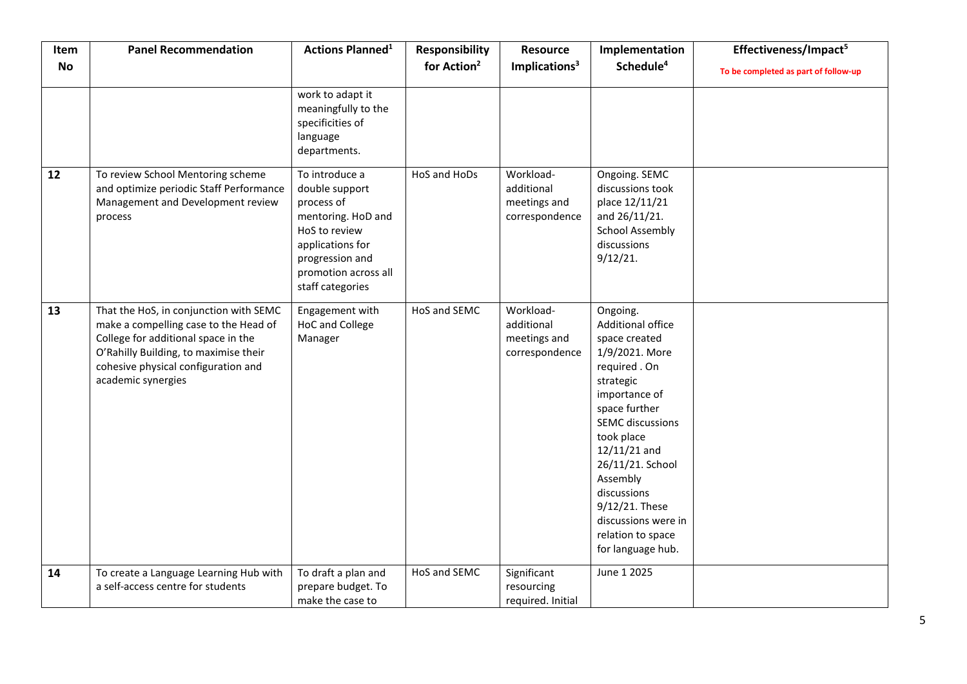| Item      | <b>Panel Recommendation</b>                                                                                                                                                                                                  | <b>Actions Planned<sup>1</sup></b>                                                                                                                                       | <b>Responsibility</b>   | <b>Resource</b>                                           | Implementation                                                                                                                                                                                                                                                                                                                | Effectiveness/Impact <sup>5</sup>    |
|-----------|------------------------------------------------------------------------------------------------------------------------------------------------------------------------------------------------------------------------------|--------------------------------------------------------------------------------------------------------------------------------------------------------------------------|-------------------------|-----------------------------------------------------------|-------------------------------------------------------------------------------------------------------------------------------------------------------------------------------------------------------------------------------------------------------------------------------------------------------------------------------|--------------------------------------|
| <b>No</b> |                                                                                                                                                                                                                              |                                                                                                                                                                          | for Action <sup>2</sup> | Implications <sup>3</sup>                                 | Schedule <sup>4</sup>                                                                                                                                                                                                                                                                                                         | To be completed as part of follow-up |
|           |                                                                                                                                                                                                                              | work to adapt it<br>meaningfully to the<br>specificities of<br>language<br>departments.                                                                                  |                         |                                                           |                                                                                                                                                                                                                                                                                                                               |                                      |
| 12        | To review School Mentoring scheme<br>and optimize periodic Staff Performance<br>Management and Development review<br>process                                                                                                 | To introduce a<br>double support<br>process of<br>mentoring. HoD and<br>HoS to review<br>applications for<br>progression and<br>promotion across all<br>staff categories | HoS and HoDs            | Workload-<br>additional<br>meetings and<br>correspondence | Ongoing. SEMC<br>discussions took<br>place 12/11/21<br>and 26/11/21.<br><b>School Assembly</b><br>discussions<br>9/12/21.                                                                                                                                                                                                     |                                      |
| 13        | That the HoS, in conjunction with SEMC<br>make a compelling case to the Head of<br>College for additional space in the<br>O'Rahilly Building, to maximise their<br>cohesive physical configuration and<br>academic synergies | Engagement with<br>HoC and College<br>Manager                                                                                                                            | HoS and SEMC            | Workload-<br>additional<br>meetings and<br>correspondence | Ongoing.<br>Additional office<br>space created<br>1/9/2021. More<br>required . On<br>strategic<br>importance of<br>space further<br><b>SEMC</b> discussions<br>took place<br>$12/11/21$ and<br>26/11/21. School<br>Assembly<br>discussions<br>9/12/21. These<br>discussions were in<br>relation to space<br>for language hub. |                                      |
| 14        | To create a Language Learning Hub with<br>a self-access centre for students                                                                                                                                                  | To draft a plan and<br>prepare budget. To<br>make the case to                                                                                                            | HoS and SEMC            | Significant<br>resourcing<br>required. Initial            | June 1 2025                                                                                                                                                                                                                                                                                                                   |                                      |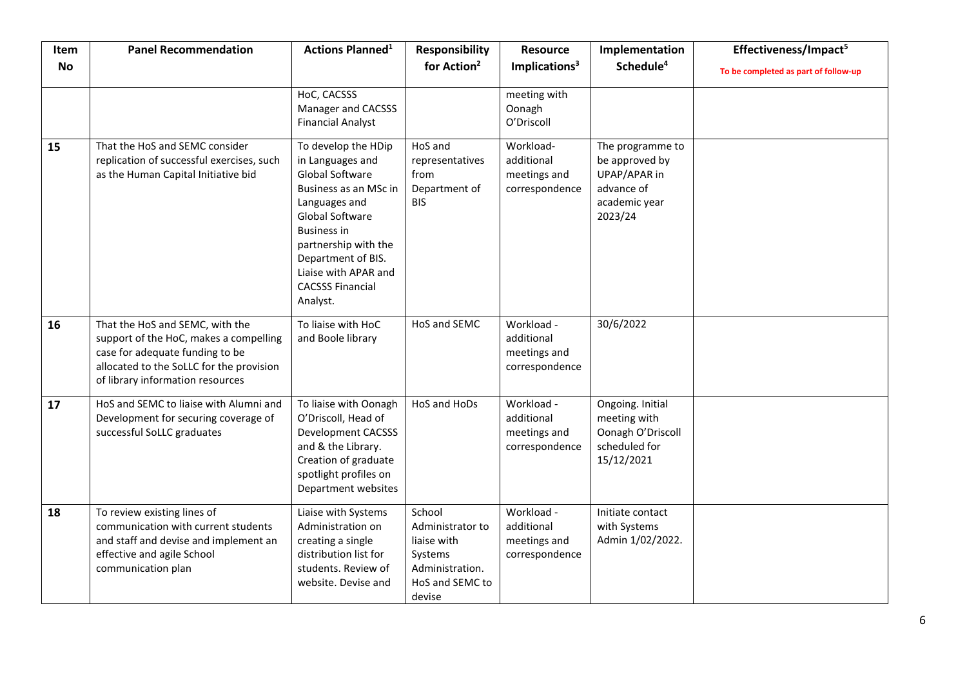| Item      | <b>Panel Recommendation</b>                                                                                                                                                                  | <b>Actions Planned<sup>1</sup></b>                                                                                                                                                                                                                         | <b>Responsibility</b>                                                                                | <b>Resource</b>                                            | Implementation                                                                               | Effectiveness/Impact <sup>5</sup>    |
|-----------|----------------------------------------------------------------------------------------------------------------------------------------------------------------------------------------------|------------------------------------------------------------------------------------------------------------------------------------------------------------------------------------------------------------------------------------------------------------|------------------------------------------------------------------------------------------------------|------------------------------------------------------------|----------------------------------------------------------------------------------------------|--------------------------------------|
| <b>No</b> |                                                                                                                                                                                              |                                                                                                                                                                                                                                                            | for Action <sup>2</sup>                                                                              | Implications <sup>3</sup>                                  | Schedule <sup>4</sup>                                                                        | To be completed as part of follow-up |
|           |                                                                                                                                                                                              | HoC, CACSSS<br>Manager and CACSSS<br><b>Financial Analyst</b>                                                                                                                                                                                              |                                                                                                      | meeting with<br>Oonagh<br>O'Driscoll                       |                                                                                              |                                      |
| 15        | That the HoS and SEMC consider<br>replication of successful exercises, such<br>as the Human Capital Initiative bid                                                                           | To develop the HDip<br>in Languages and<br>Global Software<br>Business as an MSc in<br>Languages and<br>Global Software<br><b>Business in</b><br>partnership with the<br>Department of BIS.<br>Liaise with APAR and<br><b>CACSSS Financial</b><br>Analyst. | HoS and<br>representatives<br>from<br>Department of<br><b>BIS</b>                                    | Workload-<br>additional<br>meetings and<br>correspondence  | The programme to<br>be approved by<br>UPAP/APAR in<br>advance of<br>academic year<br>2023/24 |                                      |
| 16        | That the HoS and SEMC, with the<br>support of the HoC, makes a compelling<br>case for adequate funding to be<br>allocated to the SoLLC for the provision<br>of library information resources | To liaise with HoC<br>and Boole library                                                                                                                                                                                                                    | HoS and SEMC                                                                                         | Workload -<br>additional<br>meetings and<br>correspondence | 30/6/2022                                                                                    |                                      |
| 17        | HoS and SEMC to liaise with Alumni and<br>Development for securing coverage of<br>successful SoLLC graduates                                                                                 | To liaise with Oonagh<br>O'Driscoll, Head of<br><b>Development CACSSS</b><br>and & the Library.<br>Creation of graduate<br>spotlight profiles on<br>Department websites                                                                                    | HoS and HoDs                                                                                         | Workload -<br>additional<br>meetings and<br>correspondence | Ongoing. Initial<br>meeting with<br>Oonagh O'Driscoll<br>scheduled for<br>15/12/2021         |                                      |
| 18        | To review existing lines of<br>communication with current students<br>and staff and devise and implement an<br>effective and agile School<br>communication plan                              | Liaise with Systems<br>Administration on<br>creating a single<br>distribution list for<br>students. Review of<br>website. Devise and                                                                                                                       | School<br>Administrator to<br>liaise with<br>Systems<br>Administration.<br>HoS and SEMC to<br>devise | Workload -<br>additional<br>meetings and<br>correspondence | Initiate contact<br>with Systems<br>Admin 1/02/2022.                                         |                                      |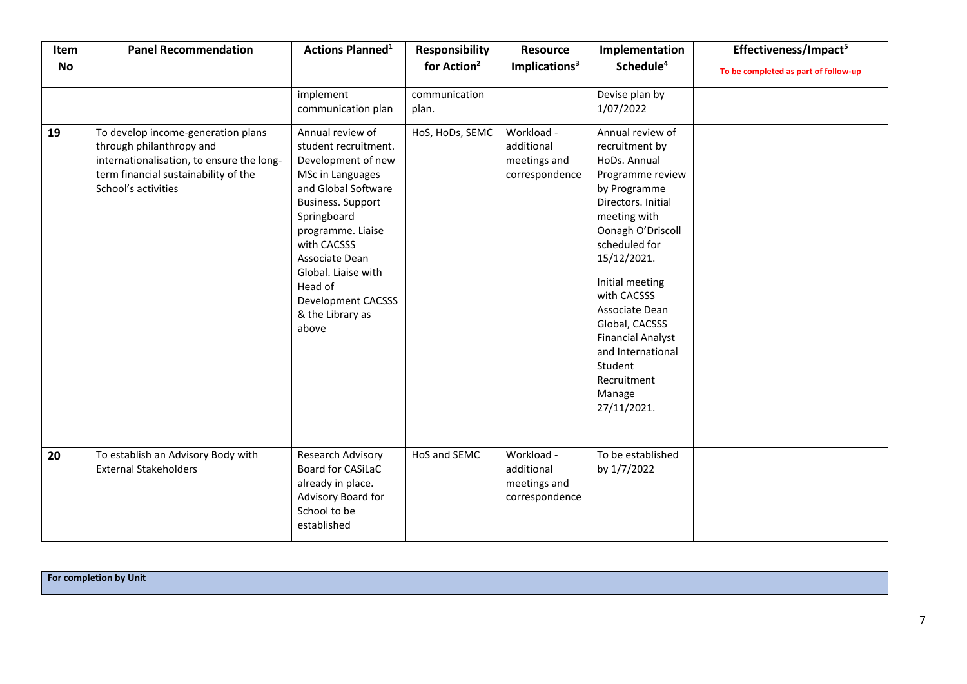| Item      | <b>Panel Recommendation</b>                                                                                                                                                | <b>Actions Planned<sup>1</sup></b>                                                                                                                                                                                                                                                              | <b>Responsibility</b>   | <b>Resource</b>                                            | Implementation                                                                                                                                                                                                                                                                                                                                              | Effectiveness/Impact <sup>5</sup>    |
|-----------|----------------------------------------------------------------------------------------------------------------------------------------------------------------------------|-------------------------------------------------------------------------------------------------------------------------------------------------------------------------------------------------------------------------------------------------------------------------------------------------|-------------------------|------------------------------------------------------------|-------------------------------------------------------------------------------------------------------------------------------------------------------------------------------------------------------------------------------------------------------------------------------------------------------------------------------------------------------------|--------------------------------------|
| <b>No</b> |                                                                                                                                                                            |                                                                                                                                                                                                                                                                                                 | for Action <sup>2</sup> | Implications <sup>3</sup>                                  | Schedule <sup>4</sup>                                                                                                                                                                                                                                                                                                                                       | To be completed as part of follow-up |
|           |                                                                                                                                                                            | implement<br>communication plan                                                                                                                                                                                                                                                                 | communication<br>plan.  |                                                            | Devise plan by<br>1/07/2022                                                                                                                                                                                                                                                                                                                                 |                                      |
| 19        | To develop income-generation plans<br>through philanthropy and<br>internationalisation, to ensure the long-<br>term financial sustainability of the<br>School's activities | Annual review of<br>student recruitment.<br>Development of new<br>MSc in Languages<br>and Global Software<br><b>Business. Support</b><br>Springboard<br>programme. Liaise<br>with CACSSS<br>Associate Dean<br>Global. Liaise with<br>Head of<br>Development CACSSS<br>& the Library as<br>above | HoS, HoDs, SEMC         | Workload -<br>additional<br>meetings and<br>correspondence | Annual review of<br>recruitment by<br>HoDs. Annual<br>Programme review<br>by Programme<br>Directors. Initial<br>meeting with<br>Oonagh O'Driscoll<br>scheduled for<br>15/12/2021.<br>Initial meeting<br>with CACSSS<br>Associate Dean<br>Global, CACSSS<br><b>Financial Analyst</b><br>and International<br>Student<br>Recruitment<br>Manage<br>27/11/2021. |                                      |
| 20        | To establish an Advisory Body with<br><b>External Stakeholders</b>                                                                                                         | Research Advisory<br>Board for CASiLaC<br>already in place.<br>Advisory Board for<br>School to be<br>established                                                                                                                                                                                | HoS and SEMC            | Workload -<br>additional<br>meetings and<br>correspondence | To be established<br>by 1/7/2022                                                                                                                                                                                                                                                                                                                            |                                      |

**For completion by Unit**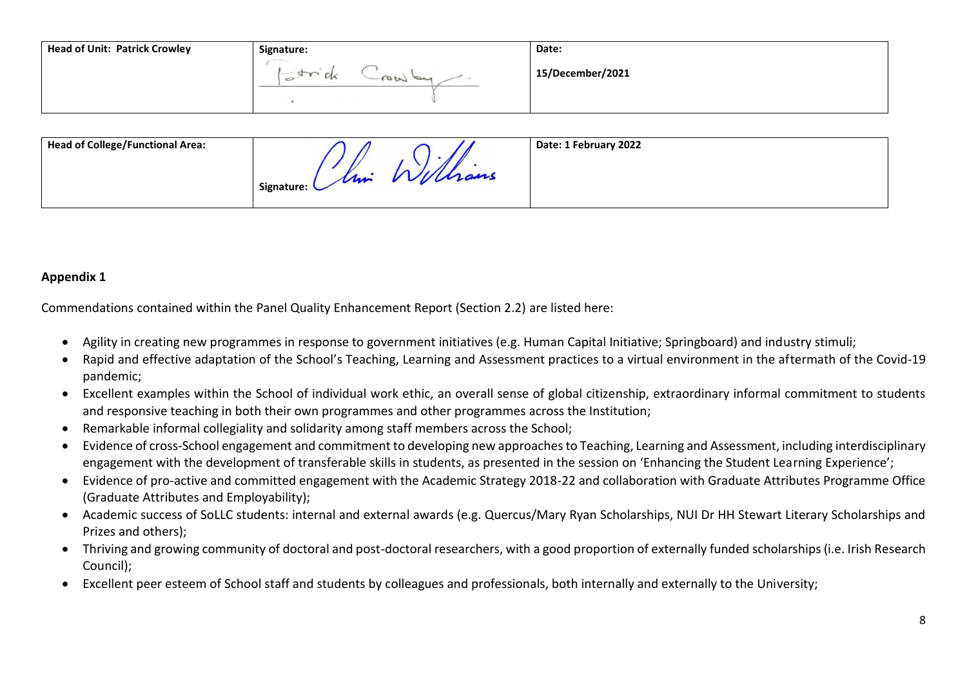| <b>Head of Unit: Patrick Crowley</b> | Signature: | Date:            |
|--------------------------------------|------------|------------------|
|                                      |            | 15/December/2021 |

| <b>Head of College/Functional Area:</b> | um<br>Signature: L | vvultans | Date: 1 February 2022 |
|-----------------------------------------|--------------------|----------|-----------------------|
|-----------------------------------------|--------------------|----------|-----------------------|

## **Appendix 1**

Commendations contained within the Panel Quality Enhancement Report (Section 2.2) are listed here:

- Agility in creating new programmes in response to government initiatives (e.g. Human Capital Initiative; Springboard) and industry stimuli;
- Rapid and effective adaptation of the School's Teaching, Learning and Assessment practices to a virtual environment in the aftermath of the Covid-19 pandemic;
- Excellent examples within the School of individual work ethic, an overall sense of global citizenship, extraordinary informal commitment to students and responsive teaching in both their own programmes and other programmes across the Institution;
- Remarkable informal collegiality and solidarity among staff members across the School;
- Evidence of cross-School engagement and commitment to developing new approaches to Teaching, Learning and Assessment, including interdisciplinary engagement with the development of transferable skills in students, as presented in the session on 'Enhancing the Student Learning Experience';
- Evidence of pro-active and committed engagement with the Academic Strategy 2018-22 and collaboration with Graduate Attributes Programme Office (Graduate Attributes and Employability);
- Academic success of SoLLC students: internal and external awards (e.g. Quercus/Mary Ryan Scholarships, NUI Dr HH Stewart Literary Scholarships and Prizes and others);
- Thriving and growing community of doctoral and post-doctoral researchers, with a good proportion of externally funded scholarships (i.e. Irish Research Council);
- Excellent peer esteem of School staff and students by colleagues and professionals, both internally and externally to the University;